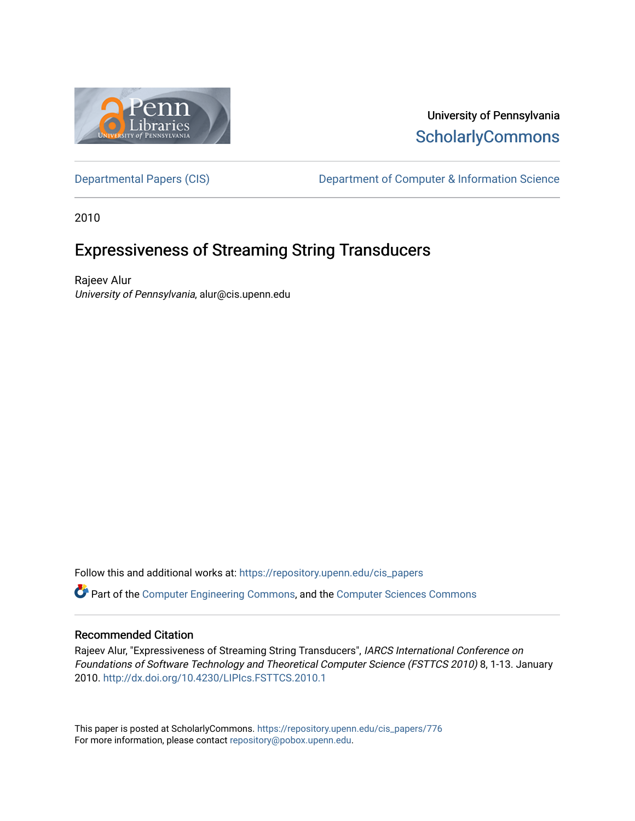

## University of Pennsylvania **ScholarlyCommons**

[Departmental Papers \(CIS\)](https://repository.upenn.edu/cis_papers) Department of Computer & Information Science

2010

# Expressiveness of Streaming String Transducers

Rajeev Alur University of Pennsylvania, alur@cis.upenn.edu

Follow this and additional works at: [https://repository.upenn.edu/cis\\_papers](https://repository.upenn.edu/cis_papers?utm_source=repository.upenn.edu%2Fcis_papers%2F776&utm_medium=PDF&utm_campaign=PDFCoverPages)

Part of the [Computer Engineering Commons,](http://network.bepress.com/hgg/discipline/258?utm_source=repository.upenn.edu%2Fcis_papers%2F776&utm_medium=PDF&utm_campaign=PDFCoverPages) and the [Computer Sciences Commons](http://network.bepress.com/hgg/discipline/142?utm_source=repository.upenn.edu%2Fcis_papers%2F776&utm_medium=PDF&utm_campaign=PDFCoverPages) 

## Recommended Citation

Rajeev Alur, "Expressiveness of Streaming String Transducers", IARCS International Conference on Foundations of Software Technology and Theoretical Computer Science (FSTTCS 2010) 8, 1-13. January 2010. <http://dx.doi.org/10.4230/LIPIcs.FSTTCS.2010.1>

This paper is posted at ScholarlyCommons. [https://repository.upenn.edu/cis\\_papers/776](https://repository.upenn.edu/cis_papers/776)  For more information, please contact [repository@pobox.upenn.edu.](mailto:repository@pobox.upenn.edu)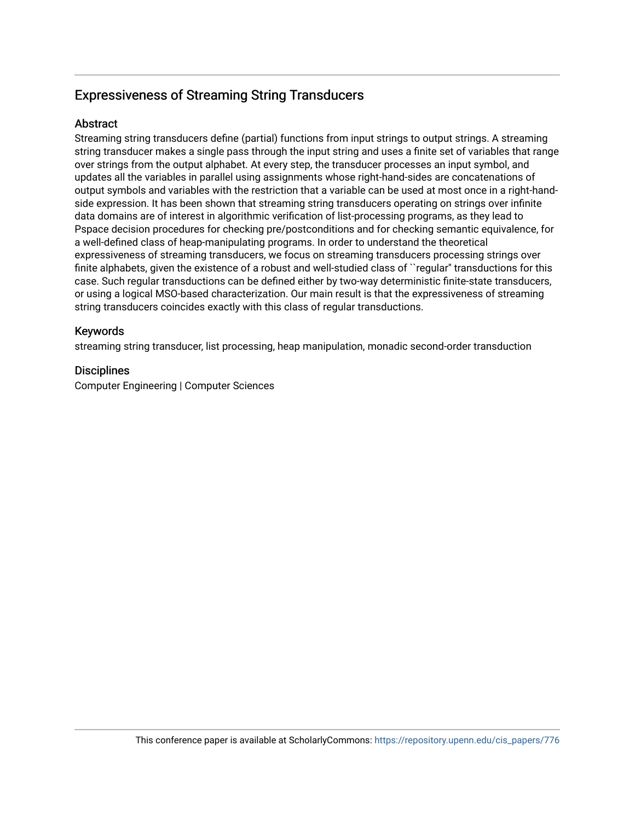## **Abstract**

Streaming string transducers define (partial) functions from input strings to output strings. A streaming string transducer makes a single pass through the input string and uses a finite set of variables that range over strings from the output alphabet. At every step, the transducer processes an input symbol, and updates all the variables in parallel using assignments whose right-hand-sides are concatenations of output symbols and variables with the restriction that a variable can be used at most once in a right-handside expression. It has been shown that streaming string transducers operating on strings over infinite data domains are of interest in algorithmic verification of list-processing programs, as they lead to Pspace decision procedures for checking pre/postconditions and for checking semantic equivalence, for a well-defined class of heap-manipulating programs. In order to understand the theoretical expressiveness of streaming transducers, we focus on streaming transducers processing strings over finite alphabets, given the existence of a robust and well-studied class of ``regular'' transductions for this case. Such regular transductions can be defined either by two-way deterministic finite-state transducers, or using a logical MSO-based characterization. Our main result is that the expressiveness of streaming string transducers coincides exactly with this class of regular transductions.

## Keywords

streaming string transducer, list processing, heap manipulation, monadic second-order transduction

## **Disciplines**

Computer Engineering | Computer Sciences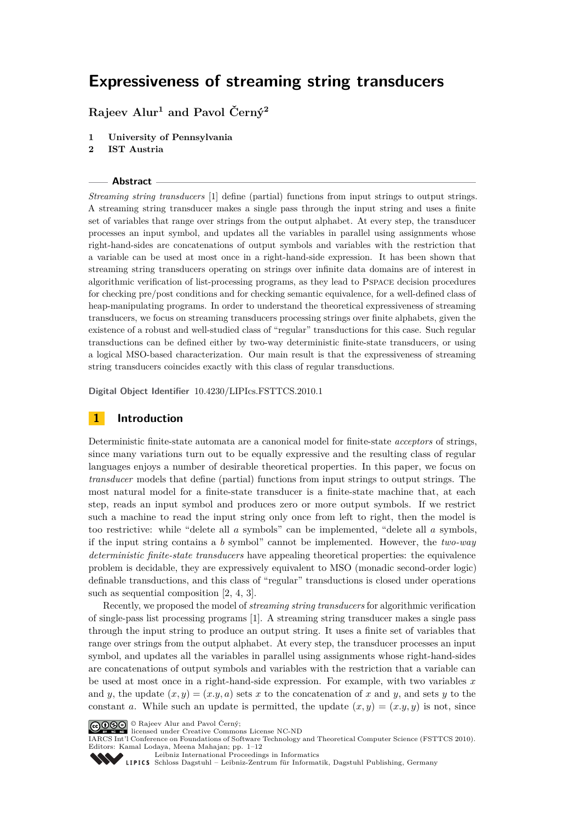**Rajeev Alur<sup>1</sup> and Pavol Černý<sup>2</sup>**

- **1 University of Pennsylvania**
- **2 IST Austria**

#### **Abstract**

*Streaming string transducers* [\[1\]](#page-13-0) define (partial) functions from input strings to output strings. A streaming string transducer makes a single pass through the input string and uses a finite set of variables that range over strings from the output alphabet. At every step, the transducer processes an input symbol, and updates all the variables in parallel using assignments whose right-hand-sides are concatenations of output symbols and variables with the restriction that a variable can be used at most once in a right-hand-side expression. It has been shown that streaming string transducers operating on strings over infinite data domains are of interest in algorithmic verification of list-processing programs, as they lead to Pspace decision procedures for checking pre/post conditions and for checking semantic equivalence, for a well-defined class of heap-manipulating programs. In order to understand the theoretical expressiveness of streaming transducers, we focus on streaming transducers processing strings over finite alphabets, given the existence of a robust and well-studied class of "regular" transductions for this case. Such regular transductions can be defined either by two-way deterministic finite-state transducers, or using a logical MSO-based characterization. Our main result is that the expressiveness of streaming string transducers coincides exactly with this class of regular transductions.

**Digital Object Identifier** [10.4230/LIPIcs.FSTTCS.2010.1](http://dx.doi.org/10.4230/LIPIcs.FSTTCS.2010.1)

#### **1 Introduction**

Deterministic finite-state automata are a canonical model for finite-state *acceptors* of strings, since many variations turn out to be equally expressive and the resulting class of regular languages enjoys a number of desirable theoretical properties. In this paper, we focus on *transducer* models that define (partial) functions from input strings to output strings. The most natural model for a finite-state transducer is a finite-state machine that, at each step, reads an input symbol and produces zero or more output symbols. If we restrict such a machine to read the input string only once from left to right, then the model is too restrictive: while "delete all *a* symbols" can be implemented, "delete all *a* symbols, if the input string contains a *b* symbol" cannot be implemented. However, the *two-way deterministic finite-state transducers* have appealing theoretical properties: the equivalence problem is decidable, they are expressively equivalent to MSO (monadic second-order logic) definable transductions, and this class of "regular" transductions is closed under operations such as sequential composition [\[2,](#page-13-1) [4,](#page-13-2) [3\]](#page-13-3).

Recently, we proposed the model of *streaming string transducers* for algorithmic verification of single-pass list processing programs [\[1\]](#page-13-0). A streaming string transducer makes a single pass through the input string to produce an output string. It uses a finite set of variables that range over strings from the output alphabet. At every step, the transducer processes an input symbol, and updates all the variables in parallel using assignments whose right-hand-sides are concatenations of output symbols and variables with the restriction that a variable can be used at most once in a right-hand-side expression. For example, with two variables *x* and *y*, the update  $(x, y) = (x, y, a)$  sets *x* to the concatenation of *x* and *y*, and sets *y* to the constant *a*. While such an update is permitted, the update  $(x, y) = (x, y, y)$  is not, since

IARCS Int'l Conference on Foundations of Software Technology and Theoretical Computer Science (FSTTCS 2010). Editors: Kamal Lodaya, Meena Mahajan; pp. 1[–12](#page-13-4)

[Leibniz International Proceedings in Informatics](http://www.dagstuhl.de/lipics/)



<sup>©</sup> Rajeev Alur and Pavol Černý; licensed under Creative Commons License NC-ND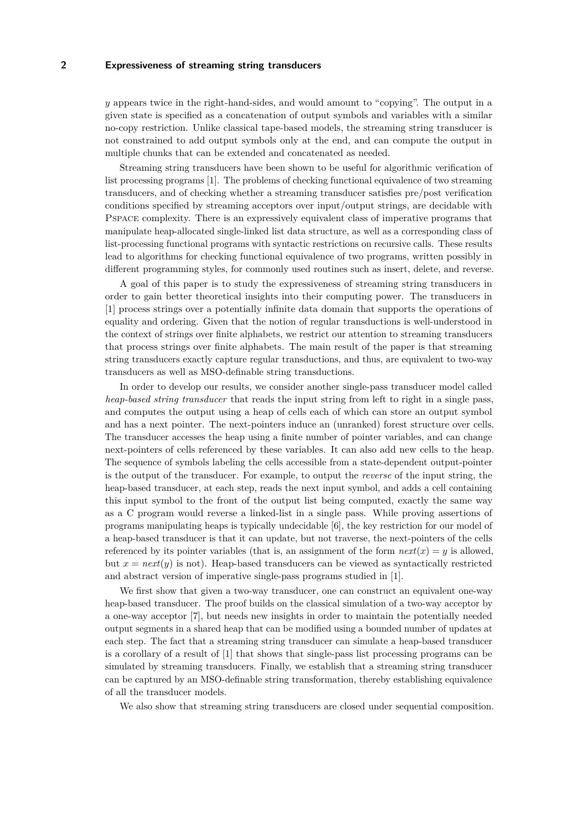*y* appears twice in the right-hand-sides, and would amount to "copying". The output in a given state is specified as a concatenation of output symbols and variables with a similar no-copy restriction. Unlike classical tape-based models, the streaming string transducer is not constrained to add output symbols only at the end, and can compute the output in multiple chunks that can be extended and concatenated as needed.

Streaming string transducers have been shown to be useful for algorithmic verification of list processing programs [\[1\]](#page-13-0). The problems of checking functional equivalence of two streaming transducers, and of checking whether a streaming transducer satisfies pre/post verification conditions specified by streaming acceptors over input/output strings, are decidable with Pspace complexity. There is an expressively equivalent class of imperative programs that manipulate heap-allocated single-linked list data structure, as well as a corresponding class of list-processing functional programs with syntactic restrictions on recursive calls. These results lead to algorithms for checking functional equivalence of two programs, written possibly in different programming styles, for commonly used routines such as insert, delete, and reverse.

A goal of this paper is to study the expressiveness of streaming string transducers in order to gain better theoretical insights into their computing power. The transducers in [\[1\]](#page-13-0) process strings over a potentially infinite data domain that supports the operations of equality and ordering. Given that the notion of regular transductions is well-understood in the context of strings over finite alphabets, we restrict our attention to streaming transducers that process strings over finite alphabets. The main result of the paper is that streaming string transducers exactly capture regular transductions, and thus, are equivalent to two-way transducers as well as MSO-definable string transductions.

In order to develop our results, we consider another single-pass transducer model called *heap-based string transducer* that reads the input string from left to right in a single pass, and computes the output using a heap of cells each of which can store an output symbol and has a next pointer. The next-pointers induce an (unranked) forest structure over cells. The transducer accesses the heap using a finite number of pointer variables, and can change next-pointers of cells referenced by these variables. It can also add new cells to the heap. The sequence of symbols labeling the cells accessible from a state-dependent output-pointer is the output of the transducer. For example, to output the *reverse* of the input string, the heap-based transducer, at each step, reads the next input symbol, and adds a cell containing this input symbol to the front of the output list being computed, exactly the same way as a C program would reverse a linked-list in a single pass. While proving assertions of programs manipulating heaps is typically undecidable [\[6\]](#page-13-5), the key restriction for our model of a heap-based transducer is that it can update, but not traverse, the next-pointers of the cells referenced by its pointer variables (that is, an assignment of the form  $next(x) = y$  is allowed, but  $x = next(y)$  is not). Heap-based transducers can be viewed as syntactically restricted and abstract version of imperative single-pass programs studied in [\[1\]](#page-13-0).

We first show that given a two-way transducer, one can construct an equivalent one-way heap-based transducer. The proof builds on the classical simulation of a two-way acceptor by a one-way acceptor [\[7\]](#page-13-6), but needs new insights in order to maintain the potentially needed output segments in a shared heap that can be modified using a bounded number of updates at each step. The fact that a streaming string transducer can simulate a heap-based transducer is a corollary of a result of [\[1\]](#page-13-0) that shows that single-pass list processing programs can be simulated by streaming transducers. Finally, we establish that a streaming string transducer can be captured by an MSO-definable string transformation, thereby establishing equivalence of all the transducer models.

We also show that streaming string transducers are closed under sequential composition.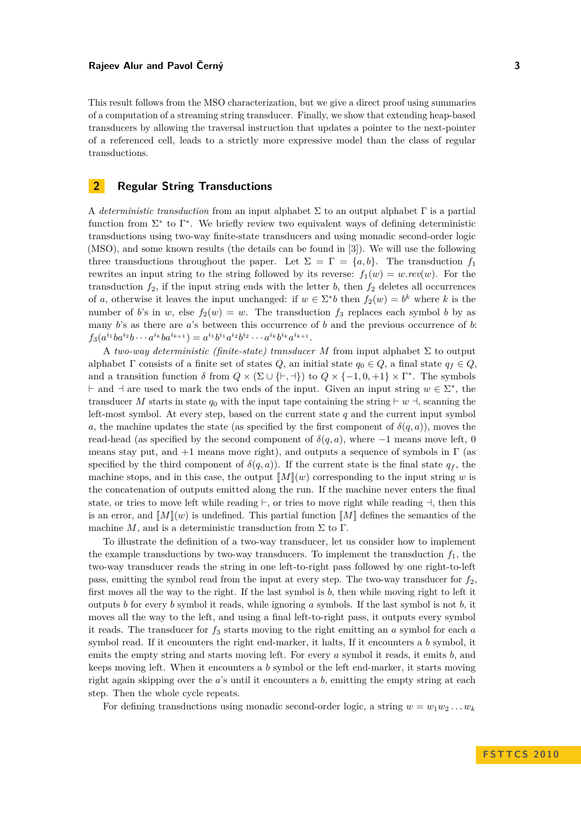This result follows from the MSO characterization, but we give a direct proof using summaries of a computation of a streaming string transducer. Finally, we show that extending heap-based transducers by allowing the traversal instruction that updates a pointer to the next-pointer of a referenced cell, leads to a strictly more expressive model than the class of regular transductions.

## **2 Regular String Transductions**

A *deterministic transduction* from an input alphabet Σ to an output alphabet Γ is a partial function from  $\Sigma^*$  to  $\Gamma^*$ . We briefly review two equivalent ways of defining deterministic transductions using two-way finite-state transducers and using monadic second-order logic (MSO), and some known results (the details can be found in [\[3\]](#page-13-3)). We will use the following three transductions throughout the paper. Let  $\Sigma = \Gamma = \{a, b\}$ . The transduction  $f_1$ rewrites an input string to the string followed by its reverse:  $f_1(w) = w$ *rev*(*w*). For the transduction  $f_2$ , if the input string ends with the letter *b*, then  $f_2$  deletes all occurrences of *a*, otherwise it leaves the input unchanged: if  $w \in \Sigma^* b$  then  $f_2(w) = b^k$  where *k* is the number of *b*'s in *w*, else  $f_2(w) = w$ . The transduction  $f_3$  replaces each symbol *b* by as many *b*'s as there are *a*'s between this occurrence of *b* and the previous occurrence of *b*:  $f_3(a^{i_1}ba^{i_2}b\cdots a^{i_k}ba^{i_{k+1}}) = a^{i_1}b^{i_1}a^{i_2}b^{i_2}\cdots a^{i_k}b^{i_k}a^{i_{k+1}}.$ 

A *two-way deterministic (finite-state) transducer M* from input alphabet Σ to output alphabet  $\Gamma$  consists of a finite set of states  $Q$ , an initial state  $q_0 \in Q$ , a final state  $q_f \in Q$ , and a transition function  $\delta$  from  $Q \times (\Sigma \cup \{+, \dashv\})$  to  $Q \times \{-1, 0, +1\} \times \Gamma^*$ . The symbols  $\vdash$  and  $\vdash$  are used to mark the two ends of the input. Given an input string *w* ∈  $\Sigma^*$ , the transducer M starts in state  $q_0$  with the input tape containing the string  $\vdash w \dashv$ , scanning the left-most symbol. At every step, based on the current state *q* and the current input symbol *a*, the machine updates the state (as specified by the first component of  $\delta(q, a)$ ), moves the read-head (as specified by the second component of  $\delta(q, a)$ , where  $-1$  means move left, 0 means stay put, and  $+1$  means move right), and outputs a sequence of symbols in  $\Gamma$  (as specified by the third component of  $\delta(q, a)$ ). If the current state is the final state  $q_f$ , the machine stops, and in this case, the output  $\llbracket M \rrbracket(w)$  corresponding to the input string *w* is the concatenation of outputs emitted along the run. If the machine never enters the final state, or tries to move left while reading  $\vdash$ , or tries to move right while reading  $\neg$ , then this is an error, and  $[M](w)$  is undefined. This partial function  $[M]$  defines the semantics of the machine *M*, and is a deterministic transduction from  $\Sigma$  to  $\Gamma$ .

To illustrate the definition of a two-way transducer, let us consider how to implement the example transductions by two-way transducers. To implement the transduction  $f_1$ , the two-way transducer reads the string in one left-to-right pass followed by one right-to-left pass, emitting the symbol read from the input at every step. The two-way transducer for  $f_2$ , first moves all the way to the right. If the last symbol is *b*, then while moving right to left it outputs *b* for every *b* symbol it reads, while ignoring *a* symbols. If the last symbol is not *b*, it moves all the way to the left, and using a final left-to-right pass, it outputs every symbol it reads. The transducer for *f*<sup>3</sup> starts moving to the right emitting an *a* symbol for each *a* symbol read. If it encounters the right end-marker, it halts, If it encounters a *b* symbol, it emits the empty string and starts moving left. For every *a* symbol it reads, it emits *b*, and keeps moving left. When it encounters a *b* symbol or the left end-marker, it starts moving right again skipping over the *a*'s until it encounters a *b*, emitting the empty string at each step. Then the whole cycle repeats.

For defining transductions using monadic second-order logic, a string  $w = w_1w_2 \ldots w_k$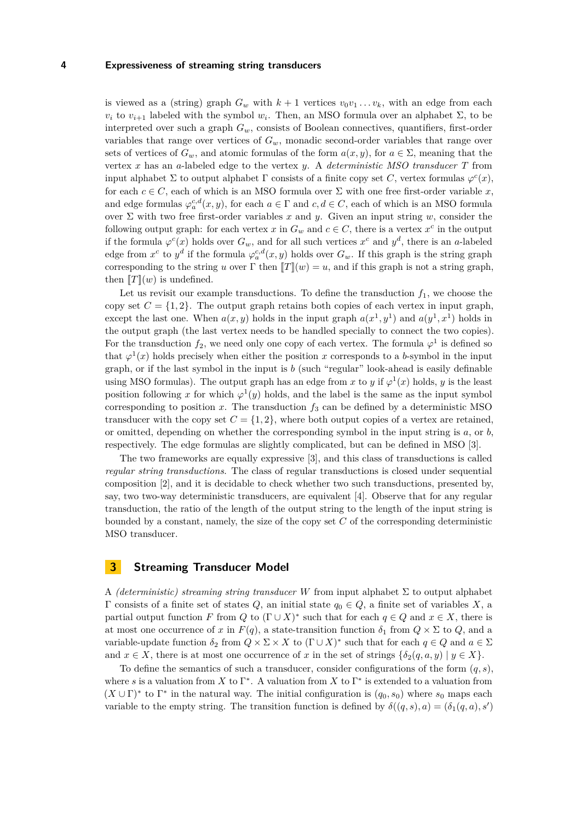is viewed as a (string) graph  $G_w$  with  $k+1$  vertices  $v_0v_1 \ldots v_k$ , with an edge from each *v<sub>i</sub>* to *v*<sub>*i*+1</sub> labeled with the symbol *w<sub>i</sub>*. Then, an MSO formula over an alphabet Σ, to be interpreted over such a graph *Gw*, consists of Boolean connectives, quantifiers, first-order variables that range over vertices of *Gw*, monadic second-order variables that range over sets of vertices of  $G_w$ , and atomic formulas of the form  $a(x, y)$ , for  $a \in \Sigma$ , meaning that the vertex *x* has an *a*-labeled edge to the vertex *y*. A *deterministic MSO transducer T* from input alphabet  $\Sigma$  to output alphabet  $\Gamma$  consists of a finite copy set *C*, vertex formulas  $\varphi^c(x)$ , for each  $c \in C$ , each of which is an MSO formula over  $\Sigma$  with one free first-order variable x, and edge formulas  $\varphi_a^{c,d}(x, y)$ , for each  $a \in \Gamma$  and  $c, d \in C$ , each of which is an MSO formula over  $\Sigma$  with two free first-order variables x and y. Given an input string w, consider the following output graph: for each vertex  $x$  in  $G_w$  and  $c \in C$ , there is a vertex  $x^c$  in the output if the formula  $\varphi^c(x)$  holds over  $G_w$ , and for all such vertices  $x^c$  and  $y^d$ , there is an *a*-labeled edge from  $x^c$  to  $y^d$  if the formula  $\varphi_a^{c,d}(x, y)$  holds over  $G_w$ . If this graph is the string graph corresponding to the string *u* over  $\Gamma$  then  $\llbracket T \rrbracket(w) = u$ , and if this graph is not a string graph, then  $T(x)$  is undefined.

Let us revisit our example transductions. To define the transduction  $f_1$ , we choose the copy set  $C = \{1, 2\}$ . The output graph retains both copies of each vertex in input graph, except the last one. When  $a(x, y)$  holds in the input graph  $a(x^1, y^1)$  and  $a(y^1, x^1)$  holds in the output graph (the last vertex needs to be handled specially to connect the two copies). For the transduction  $f_2$ , we need only one copy of each vertex. The formula  $\varphi^1$  is defined so that  $\varphi^1(x)$  holds precisely when either the position *x* corresponds to a *b*-symbol in the input graph, or if the last symbol in the input is *b* (such "regular" look-ahead is easily definable using MSO formulas). The output graph has an edge from *x* to *y* if  $\varphi^1(x)$  holds, *y* is the least position following x for which  $\varphi^1(y)$  holds, and the label is the same as the input symbol corresponding to position  $x$ . The transduction  $f_3$  can be defined by a deterministic MSO transducer with the copy set  $C = \{1, 2\}$ , where both output copies of a vertex are retained, or omitted, depending on whether the corresponding symbol in the input string is *a*, or *b*, respectively. The edge formulas are slightly complicated, but can be defined in MSO [\[3\]](#page-13-3).

The two frameworks are equally expressive [\[3\]](#page-13-3), and this class of transductions is called *regular string transductions*. The class of regular transductions is closed under sequential composition [\[2\]](#page-13-1), and it is decidable to check whether two such transductions, presented by, say, two two-way deterministic transducers, are equivalent [\[4\]](#page-13-2). Observe that for any regular transduction, the ratio of the length of the output string to the length of the input string is bounded by a constant, namely, the size of the copy set *C* of the corresponding deterministic MSO transducer.

#### <span id="page-5-0"></span>**3 Streaming Transducer Model**

A *(deterministic) streaming string transducer W* from input alphabet  $\Sigma$  to output alphabet Γ consists of a finite set of states *Q*, an initial state *q*<sup>0</sup> ∈ *Q*, a finite set of variables *X*, a partial output function *F* from *Q* to  $(\Gamma \cup X)^*$  such that for each  $q \in Q$  and  $x \in X$ , there is at most one occurrence of *x* in  $F(q)$ , a state-transition function  $\delta_1$  from  $Q \times \Sigma$  to  $Q$ , and a variable-update function  $\delta_2$  from  $Q \times \Sigma \times X$  to  $(\Gamma \cup X)^*$  such that for each  $q \in Q$  and  $a \in \Sigma$ and  $x \in X$ , there is at most one occurrence of *x* in the set of strings  $\{\delta_2(q, a, y) \mid y \in X\}$ .

To define the semantics of such a transducer, consider configurations of the form  $(q, s)$ , where *s* is a valuation from *X* to  $\Gamma^*$ . A valuation from *X* to  $\Gamma^*$  is extended to a valuation from  $(X \cup \Gamma)^*$  to  $\Gamma^*$  in the natural way. The initial configuration is  $(q_0, s_0)$  where  $s_0$  maps each variable to the empty string. The transition function is defined by  $\delta((q, s), a) = (\delta_1(q, a), s')$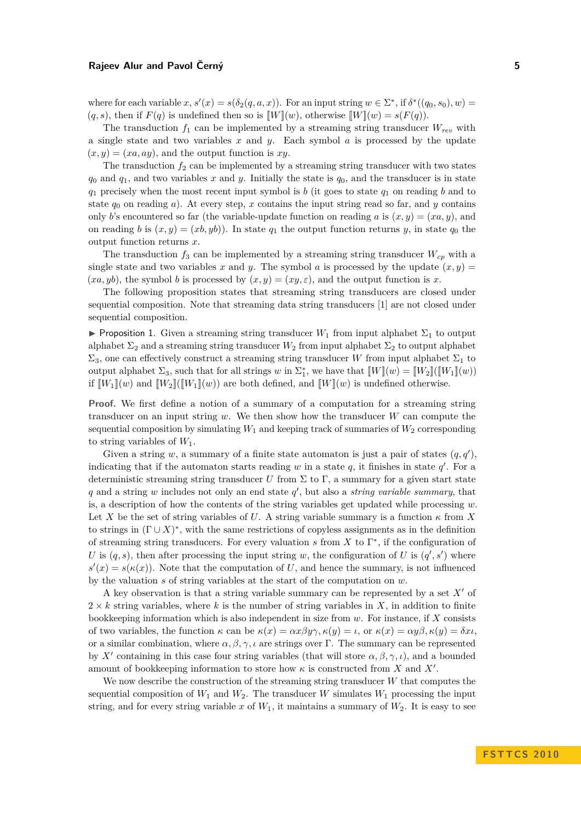where for each variable  $x, s'(x) = s(\delta_2(q, a, x))$ . For an input string  $w \in \Sigma^*$ , if  $\delta^*((q_0, s_0), w) =$  $(q, s)$ , then if  $F(q)$  is undefined then so is  $\llbracket W \rrbracket(w)$ , otherwise  $\llbracket W \rrbracket(w) = s(F(q))$ .

The transduction  $f_1$  can be implemented by a streaming string transducer  $W_{rev}$  with a single state and two variables *x* and *y*. Each symbol *a* is processed by the update  $(x, y) = (xa, ay)$ , and the output function is xy.

The transduction  $f_2$  can be implemented by a streaming string transducer with two states  $q_0$  and  $q_1$ , and two variables *x* and *y*. Initially the state is  $q_0$ , and the transducer is in state *q*<sup>1</sup> precisely when the most recent input symbol is *b* (it goes to state *q*<sup>1</sup> on reading *b* and to state  $q_0$  on reading  $a$ ). At every step,  $x$  contains the input string read so far, and  $y$  contains only *b*'s encountered so far (the variable-update function on reading *a* is  $(x, y) = (xa, y)$ , and on reading *b* is  $(x, y) = (xb, yb)$ . In state  $q_1$  the output function returns *y*, in state  $q_0$  the output function returns *x*.

The transduction  $f_3$  can be implemented by a streaming string transducer  $W_{cp}$  with a single state and two variables x and y. The symbol a is processed by the update  $(x, y)$  $(xa, yb)$ , the symbol *b* is processed by  $(x, y) = (xy, \varepsilon)$ , and the output function is *x*.

The following proposition states that streaming string transducers are closed under sequential composition. Note that streaming data string transducers [\[1\]](#page-13-0) are not closed under sequential composition.

**Proposition 1.** Given a streaming string transducer  $W_1$  from input alphabet  $\Sigma_1$  to output alphabet  $\Sigma_2$  and a streaming string transducer  $W_2$  from input alphabet  $\Sigma_2$  to output alphabet  $\Sigma_3$ , one can effectively construct a streaming string transducer *W* from input alphabet  $\Sigma_1$  to output alphabet  $\Sigma_3$ , such that for all strings *w* in  $\Sigma_1^*$ , we have that  $[[W](w) = [[W_2]]([\![W_1]\!](w))$ if  $[W_1](w)$  and  $[W_2]([W_1](w))$  are both defined, and  $[W](w)$  is undefined otherwise.

**Proof.** We first define a notion of a summary of a computation for a streaming string transducer on an input string *w*. We then show how the transducer *W* can compute the sequential composition by simulating  $W_1$  and keeping track of summaries of  $W_2$  corresponding to string variables of *W*1.

Given a string w, a summary of a finite state automaton is just a pair of states  $(q, q')$ , indicating that if the automaton starts reading  $w$  in a state  $q$ , it finishes in state  $q'$ . For a deterministic streaming string transducer *U* from  $\Sigma$  to  $\Gamma$ , a summary for a given start state  $q$  and a string  $w$  includes not only an end state  $q'$ , but also a *string variable summary*, that is, a description of how the contents of the string variables get updated while processing *w*. Let X be the set of string variables of U. A string variable summary is a function  $\kappa$  from X to strings in  $(Γ ∪ X)^*$ , with the same restrictions of copyless assignments as in the definition of streaming string transducers. For every valuation  $s$  from  $X$  to  $\Gamma^*$ , if the configuration of *U* is  $(q, s)$ , then after processing the input string *w*, the configuration of *U* is  $(q', s')$  where  $s'(x) = s(\kappa(x))$ . Note that the computation of *U*, and hence the summary, is not influenced by the valuation *s* of string variables at the start of the computation on *w*.

A key observation is that a string variable summary can be represented by a set  $X'$  of  $2 \times k$  string variables, where k is the number of string variables in X, in addition to finite bookkeeping information which is also independent in size from *w*. For instance, if *X* consists of two variables, the function *κ* can be *κ*(*x*) = *αxβyγ, κ*(*y*) = *ι*, or *κ*(*x*) = *αyβ, κ*(*y*) = *δxι*, or a similar combination, where  $\alpha, \beta, \gamma, \iota$  are strings over Γ. The summary can be represented by *X'* containing in this case four string variables (that will store  $\alpha, \beta, \gamma, \iota$ ), and a bounded amount of bookkeeping information to store how  $\kappa$  is constructed from *X* and *X'*.

We now describe the construction of the streaming string transducer *W* that computes the sequential composition of  $W_1$  and  $W_2$ . The transducer  $W$  simulates  $W_1$  processing the input string, and for every string variable  $x$  of  $W_1$ , it maintains a summary of  $W_2$ . It is easy to see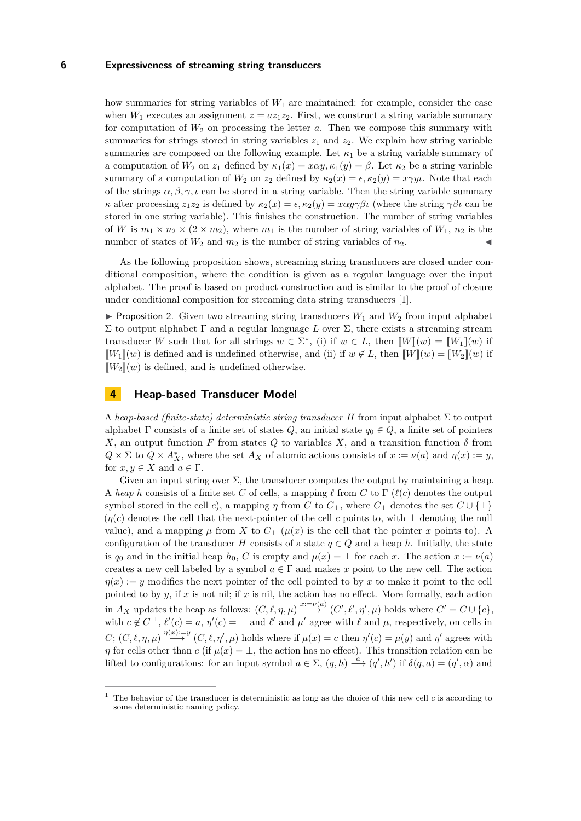how summaries for string variables of *W*<sup>1</sup> are maintained: for example, consider the case when  $W_1$  executes an assignment  $z = az_1z_2$ . First, we construct a string variable summary for computation of  $W_2$  on processing the letter *a*. Then we compose this summary with summaries for strings stored in string variables  $z_1$  and  $z_2$ . We explain how string variable summaries are composed on the following example. Let  $\kappa_1$  be a string variable summary of a computation of  $W_2$  on  $z_1$  defined by  $\kappa_1(x) = x\alpha y$ ,  $\kappa_1(y) = \beta$ . Let  $\kappa_2$  be a string variable summary of a computation of  $W_2$  on  $z_2$  defined by  $\kappa_2(x) = \epsilon, \kappa_2(y) = x \gamma y \iota$ . Note that each of the strings  $\alpha, \beta, \gamma, \iota$  can be stored in a string variable. Then the string variable summary *κ* after processing  $z_1z_2$  is defined by  $κ_2(x) = ε$ ,  $κ_2(y) = xαyγβι$  (where the string  $γβι$  can be stored in one string variable). This finishes the construction. The number of string variables of *W* is  $m_1 \times n_2 \times (2 \times m_2)$ , where  $m_1$  is the number of string variables of  $W_1$ ,  $n_2$  is the number of states of  $W_2$  and  $m_2$  is the number of string variables of  $n_2$ .

As the following proposition shows, streaming string transducers are closed under conditional composition, where the condition is given as a regular language over the input alphabet. The proof is based on product construction and is similar to the proof of closure under conditional composition for streaming data string transducers [\[1\]](#page-13-0).

**Proposition 2.** Given two streaming string transducers  $W_1$  and  $W_2$  from input alphabet Σ to output alphabet Γ and a regular language *L* over Σ, there exists a streaming stream transducer *W* such that for all strings  $w \in \Sigma^*$ , (i) if  $w \in L$ , then  $[[W]](w) = [[W_1]](w)$  if  $[W_1](w)$  is defined and is undefined otherwise, and (ii) if  $w \notin L$ , then  $[W](w) = [W_2](w)$  if  $\llbracket W_2 \rrbracket(w)$  is defined, and is undefined otherwise.

### **4 Heap-based Transducer Model**

A *heap-based (finite-state) deterministic string transducer H* from input alphabet Σ to output alphabet  $\Gamma$  consists of a finite set of states  $Q$ , an initial state  $q_0 \in Q$ , a finite set of pointers *X*, an output function *F* from states *Q* to variables *X*, and a transition function *δ* from  $Q \times \Sigma$  to  $Q \times A_X^*$ , where the set  $A_X$  of atomic actions consists of  $x := \nu(a)$  and  $\eta(x) := y$ , for  $x, y \in X$  and  $a \in \Gamma$ .

Given an input string over  $\Sigma$ , the transducer computes the output by maintaining a heap. A *heap h* consists of a finite set *C* of cells, a mapping  $\ell$  from *C* to  $\Gamma$  ( $\ell(c)$  denotes the output symbol stored in the cell *c*), a mapping *η* from *C* to  $C_{\perp}$ , where  $C_{\perp}$  denotes the set  $C \cup \{\perp\}$  $(\eta(c)$  denotes the cell that the next-pointer of the cell *c* points to, with  $\perp$  denoting the null value), and a mapping  $\mu$  from *X* to  $C_{\perp}$  ( $\mu(x)$  is the cell that the pointer *x* points to). A configuration of the transducer *H* consists of a state  $q \in Q$  and a heap *h*. Initially, the state is  $q_0$  and in the initial heap  $h_0$ , *C* is empty and  $\mu(x) = \perp$  for each *x*. The action  $x := \nu(a)$ creates a new cell labeled by a symbol  $a \in \Gamma$  and makes x point to the new cell. The action  $\eta(x) := y$  modifies the next pointer of the cell pointed to by x to make it point to the cell pointed to by *y*, if *x* is not nil; if *x* is nil, the action has no effect. More formally, each action in  $A_X$  updates the heap as follows:  $(C, \ell, \eta, \mu) \stackrel{x := \nu(a)}{\longrightarrow} (C', \ell', \eta', \mu)$  holds where  $C' = C \cup \{c\},$ with  $c \notin C^{-1}$ ,  $\ell'(c) = a$ ,  $\eta'(c) = \bot$  and  $\ell'$  and  $\mu'$  agree with  $\ell$  and  $\mu$ , respectively, on cells in  $C; (C, \ell, \eta, \mu) \stackrel{\eta(x):=y}{\longrightarrow} (C, \ell, \eta', \mu)$  holds where if  $\mu(x) = c$  then  $\eta'(c) = \mu(y)$  and  $\eta'$  agrees with *η* for cells other than *c* (if  $\mu(x) = \perp$ , the action has no effect). This transition relation can be lifted to configurations: for an input symbol  $a \in \Sigma$ ,  $(q, h) \stackrel{a}{\longrightarrow} (q', h')$  if  $\delta(q, a) = (q', \alpha)$  and

<sup>1</sup> The behavior of the transducer is deterministic as long as the choice of this new cell *c* is according to some deterministic naming policy.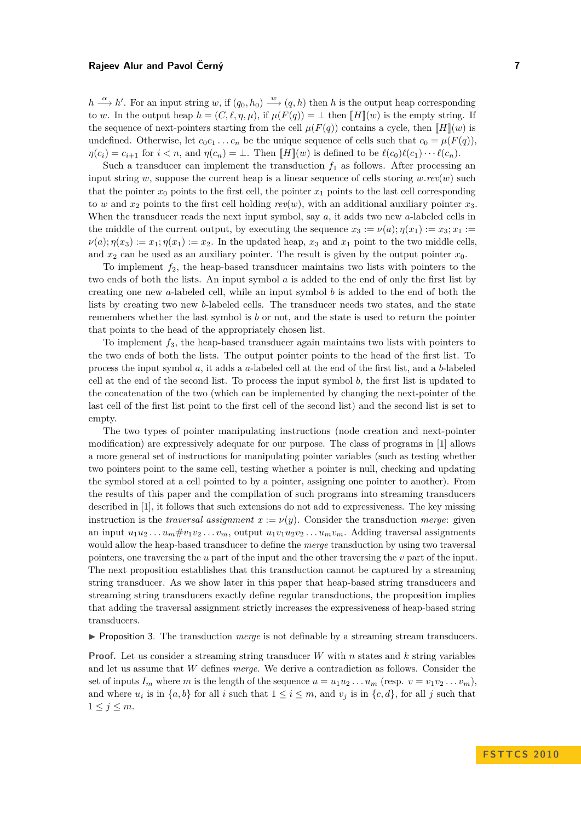$h \stackrel{\alpha}{\longrightarrow} h'$ . For an input string *w*, if  $(q_0, h_0) \stackrel{w}{\longrightarrow} (q, h)$  then *h* is the output heap corresponding to *w*. In the output heap  $h = (C, \ell, \eta, \mu)$ , if  $\mu(F(q)) = \bot$  then  $\llbracket H \rrbracket(w)$  is the empty string. If the sequence of next-pointers starting from the cell  $\mu(F(q))$  contains a cycle, then  $\llbracket H \rrbracket(w)$  is undefined. Otherwise, let  $c_0c_1 \ldots c_n$  be the unique sequence of cells such that  $c_0 = \mu(F(q))$ ,  $\eta(c_i) = c_{i+1}$  for  $i < n$ , and  $\eta(c_n) = \bot$ . Then  $\llbracket H \rrbracket(w)$  is defined to be  $\ell(c_0)\ell(c_1)\cdots\ell(c_n)$ .

Such a transducer can implement the transduction  $f_1$  as follows. After processing an input string *w*, suppose the current heap is a linear sequence of cells storing  $w$ .*rev*(*w*) such that the pointer  $x_0$  points to the first cell, the pointer  $x_1$  points to the last cell corresponding to *w* and  $x_2$  points to the first cell holding  $rev(w)$ , with an additional auxiliary pointer  $x_3$ . When the transducer reads the next input symbol, say *a*, it adds two new *a*-labeled cells in the middle of the current output, by executing the sequence  $x_3 := \nu(a); \eta(x_1) := x_3; x_1 :=$  $\nu(a); \eta(x_3) := x_1; \eta(x_1) := x_2$ . In the updated heap,  $x_3$  and  $x_1$  point to the two middle cells, and  $x_2$  can be used as an auxiliary pointer. The result is given by the output pointer  $x_0$ .

To implement  $f_2$ , the heap-based transducer maintains two lists with pointers to the two ends of both the lists. An input symbol *a* is added to the end of only the first list by creating one new *a*-labeled cell, while an input symbol *b* is added to the end of both the lists by creating two new *b*-labeled cells. The transducer needs two states, and the state remembers whether the last symbol is *b* or not, and the state is used to return the pointer that points to the head of the appropriately chosen list.

To implement *f*3, the heap-based transducer again maintains two lists with pointers to the two ends of both the lists. The output pointer points to the head of the first list. To process the input symbol *a*, it adds a *a*-labeled cell at the end of the first list, and a *b*-labeled cell at the end of the second list. To process the input symbol *b*, the first list is updated to the concatenation of the two (which can be implemented by changing the next-pointer of the last cell of the first list point to the first cell of the second list) and the second list is set to empty.

The two types of pointer manipulating instructions (node creation and next-pointer modification) are expressively adequate for our purpose. The class of programs in [\[1\]](#page-13-0) allows a more general set of instructions for manipulating pointer variables (such as testing whether two pointers point to the same cell, testing whether a pointer is null, checking and updating the symbol stored at a cell pointed to by a pointer, assigning one pointer to another). From the results of this paper and the compilation of such programs into streaming transducers described in [\[1\]](#page-13-0), it follows that such extensions do not add to expressiveness. The key missing instruction is the *traversal assignment*  $x := \nu(y)$ . Consider the transduction *merge*: given an input  $u_1u_2 \ldots u_m \# v_1v_2 \ldots v_m$ , output  $u_1v_1u_2v_2 \ldots u_mv_m$ . Adding traversal assignments would allow the heap-based transducer to define the *merge* transduction by using two traversal pointers, one traversing the *u* part of the input and the other traversing the *v* part of the input. The next proposition establishes that this transduction cannot be captured by a streaming string transducer. As we show later in this paper that heap-based string transducers and streaming string transducers exactly define regular transductions, the proposition implies that adding the traversal assignment strictly increases the expressiveness of heap-based string transducers.

**If Proposition 3.** The transduction *merge* is not definable by a streaming stream transducers.

**Proof.** Let us consider a streaming string transducer *W* with *n* states and *k* string variables and let us assume that *W* defines *merge*. We derive a contradiction as follows. Consider the set of inputs  $I_m$  where *m* is the length of the sequence  $u = u_1u_2 \ldots u_m$  (resp.  $v = v_1v_2 \ldots v_m$ ), and where  $u_i$  is in  $\{a, b\}$  for all *i* such that  $1 \leq i \leq m$ , and  $v_j$  is in  $\{c, d\}$ , for all *j* such that  $1 \leq j \leq m$ .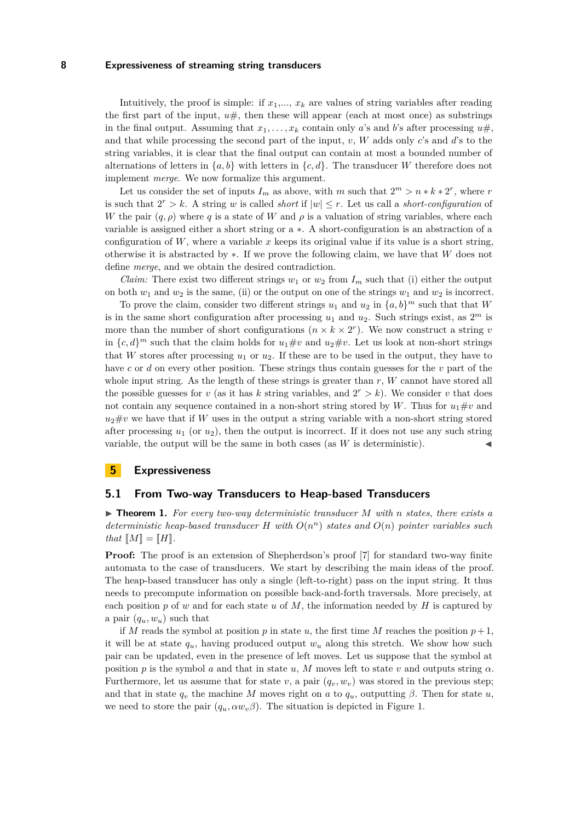Intuitively, the proof is simple: if  $x_1, \ldots, x_k$  are values of string variables after reading the first part of the input,  $u\#$ , then these will appear (each at most once) as substrings in the final output. Assuming that  $x_1, \ldots, x_k$  contain only *a*'s and *b*'s after processing  $u \#$ , and that while processing the second part of the input, *v*, *W* adds only *c*'s and *d*'s to the string variables, it is clear that the final output can contain at most a bounded number of alternations of letters in  $\{a, b\}$  with letters in  $\{c, d\}$ . The transducer *W* therefore does not implement *merge*. We now formalize this argument.

Let us consider the set of inputs  $I_m$  as above, with *m* such that  $2^m > n * k * 2^r$ , where *r* is such that  $2^r > k$ . A string *w* is called *short* if  $|w| \leq r$ . Let us call a *short-configuration* of *W* the pair  $(q, \rho)$  where *q* is a state of *W* and  $\rho$  is a valuation of string variables, where each variable is assigned either a short string or a ∗. A short-configuration is an abstraction of a configuration of  $W$ , where a variable  $x$  keeps its original value if its value is a short string, otherwise it is abstracted by ∗. If we prove the following claim, we have that *W* does not define *merge*, and we obtain the desired contradiction.

*Claim:* There exist two different strings  $w_1$  or  $w_2$  from  $I_m$  such that (i) either the output on both  $w_1$  and  $w_2$  is the same, (ii) or the output on one of the strings  $w_1$  and  $w_2$  is incorrect.

To prove the claim, consider two different strings  $u_1$  and  $u_2$  in  $\{a, b\}^m$  such that that *W* is in the same short configuration after processing  $u_1$  and  $u_2$ . Such strings exist, as  $2^m$  is more than the number of short configurations  $(n \times k \times 2^r)$ . We now construct a string *v* in  $\{c, d\}^m$  such that the claim holds for  $u_1 \# v$  and  $u_2 \# v$ . Let us look at non-short strings that *W* stores after processing  $u_1$  or  $u_2$ . If these are to be used in the output, they have to have *c* or *d* on every other position. These strings thus contain guesses for the *v* part of the whole input string. As the length of these strings is greater than *r*, *W* cannot have stored all the possible guesses for *v* (as it has *k* string variables, and  $2^r > k$ ). We consider *v* that does not contain any sequence contained in a non-short string stored by W. Thus for  $u_1 \# v$  and  $u_2 \# v$  we have that if *W* uses in the output a string variable with a non-short string stored after processing  $u_1$  (or  $u_2$ ), then the output is incorrect. If it does not use any such string variable, the output will be the same in both cases (as  $W$  is deterministic).

### **5 Expressiveness**

#### **5.1 From Two-way Transducers to Heap-based Transducers**

 $\triangleright$  **Theorem 1.** For every two-way deterministic transducer M with *n* states, there exists a *deterministic heap-based transducer H with O*(*n <sup>n</sup>*) *states and O*(*n*) *pointer variables such that*  $[M] = [H]$ *.* 

**Proof:** The proof is an extension of Shepherdson's proof [\[7\]](#page-13-6) for standard two-way finite automata to the case of transducers. We start by describing the main ideas of the proof. The heap-based transducer has only a single (left-to-right) pass on the input string. It thus needs to precompute information on possible back-and-forth traversals. More precisely, at each position *p* of *w* and for each state *u* of *M*, the information needed by *H* is captured by a pair  $(q_u, w_u)$  such that

<span id="page-9-0"></span>if *M* reads the symbol at position  $p$  in state  $u$ , the first time *M* reaches the position  $p+1$ , it will be at state  $q_u$ , having produced output  $w_u$  along this stretch. We show how such pair can be updated, even in the presence of left moves. Let us suppose that the symbol at position *p* is the symbol *a* and that in state *u*, *M* moves left to state *v* and outputs string  $\alpha$ . Furthermore, let us assume that for state  $v$ , a pair  $(q_v, w_v)$  was stored in the previous step; and that in state  $q_v$  the machine *M* moves right on *a* to  $q_u$ , outputting  $\beta$ . Then for state *u*, we need to store the pair  $(q_u, \alpha w_v \beta)$ . The situation is depicted in Figure [1.](#page-9-0)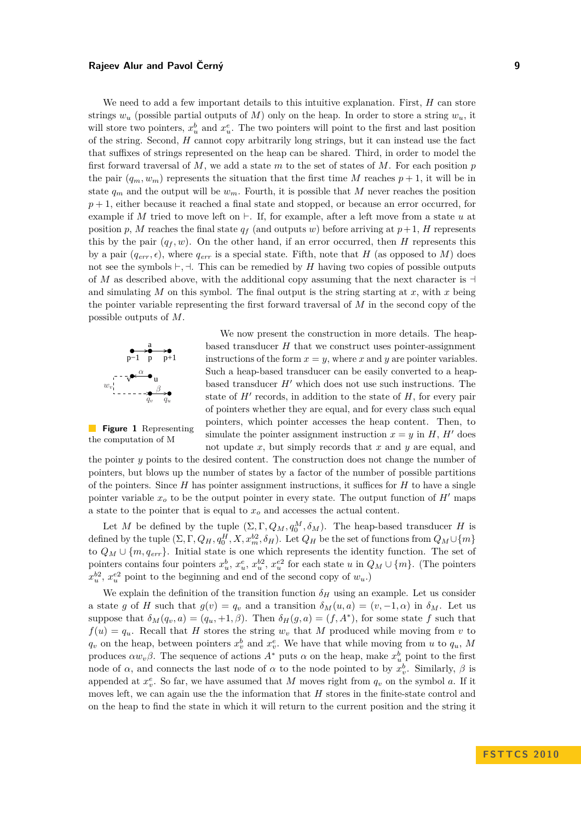We need to add a few important details to this intuitive explanation. First, *H* can store strings  $w_u$  (possible partial outputs of *M*) only on the heap. In order to store a string  $w_u$ , it will store two pointers,  $x_u^b$  and  $x_u^e$ . The two pointers will point to the first and last position of the string. Second, *H* cannot copy arbitrarily long strings, but it can instead use the fact that suffixes of strings represented on the heap can be shared. Third, in order to model the first forward traversal of *M*, we add a state *m* to the set of states of *M*. For each position *p* the pair  $(q_m, w_m)$  represents the situation that the first time *M* reaches  $p + 1$ , it will be in state  $q_m$  and the output will be  $w_m$ . Fourth, it is possible that M never reaches the position  $p+1$ , either because it reached a final state and stopped, or because an error occurred, for example if *M* tried to move left on  $\vdash$ . If, for example, after a left move from a state *u* at position *p*, *M* reaches the final state  $q_f$  (and outputs *w*) before arriving at  $p+1$ , *H* represents this by the pair  $(q_f, w)$ . On the other hand, if an error occurred, then *H* represents this by a pair  $(q_{err}, \epsilon)$ , where  $q_{err}$  is a special state. Fifth, note that *H* (as opposed to *M*) does not see the symbols  $\vdash, \dashv$ . This can be remedied by *H* having two copies of possible outputs of *M* as described above, with the additional copy assuming that the next character is  $\exists$ and simulating  $M$  on this symbol. The final output is the string starting at  $x$ , with  $x$  being the pointer variable representing the first forward traversal of *M* in the second copy of the possible outputs of *M*.



**Figure 1** Representing the computation of M

We now present the construction in more details. The heapbased transducer *H* that we construct uses pointer-assignment instructions of the form  $x = y$ , where x and y are pointer variables. Such a heap-based transducer can be easily converted to a heapbased transducer  $H'$  which does not use such instructions. The state of  $H'$  records, in addition to the state of  $H$ , for every pair of pointers whether they are equal, and for every class such equal pointers, which pointer accesses the heap content. Then, to simulate the pointer assignment instruction  $x = y$  in *H*, *H'* does not update *x*, but simply records that *x* and *y* are equal, and

the pointer *y* points to the desired content. The construction does not change the number of pointers, but blows up the number of states by a factor of the number of possible partitions of the pointers. Since *H* has pointer assignment instructions, it suffices for *H* to have a single pointer variable  $x<sub>o</sub>$  to be the output pointer in every state. The output function of *H*<sup> $\prime$ </sup> maps a state to the pointer that is equal to *x<sup>o</sup>* and accesses the actual content.

Let *M* be defined by the tuple  $(\Sigma, \Gamma, Q_M, q_0^M, \delta_M)$ . The heap-based transducer *H* is defined by the tuple  $(\Sigma, \Gamma, Q_H, q_0^H, X, x_m^{b2}, \delta_H)$ . Let  $Q_H$  be the set of functions from  $Q_M \cup \{m\}$ to  $Q_M \cup \{m, q_{err}\}.$  Initial state is one which represents the identity function. The set of pointers contains four pointers  $x_u^b, x_u^e, x_u^{b2}, x_u^{e2}$  for each state *u* in  $Q_M \cup \{m\}$ . (The pointers  $x_u^{b2}$ ,  $x_u^{e2}$  point to the beginning and end of the second copy of  $w_u$ .)

We explain the definition of the transition function  $\delta_H$  using an example. Let us consider a state *g* of *H* such that  $g(v) = q_v$  and a transition  $\delta_M(u, a) = (v, -1, \alpha)$  in  $\delta_M$ . Let us suppose that  $\delta_M(q_v, a) = (q_u, +1, \beta)$ . Then  $\delta_H(q, a) = (f, A^*)$ , for some state *f* such that  $f(u) = q_u$ . Recall that *H* stores the string  $w_v$  that *M* produced while moving from *v* to  $q_v$  on the heap, between pointers  $x_v^b$  and  $x_v^e$ . We have that while moving from *u* to  $q_u$ , *M* produces  $\alpha w_v \beta$ . The sequence of actions  $A^*$  puts  $\alpha$  on the heap, make  $x_u^b$  point to the first node of *α*, and connects the last node of *α* to the node pointed to by  $x_v^b$ . Similarly,  $\beta$  is appended at  $x_v^e$ . So far, we have assumed that *M* moves right from  $q_v$  on the symbol *a*. If it moves left, we can again use the the information that *H* stores in the finite-state control and on the heap to find the state in which it will return to the current position and the string it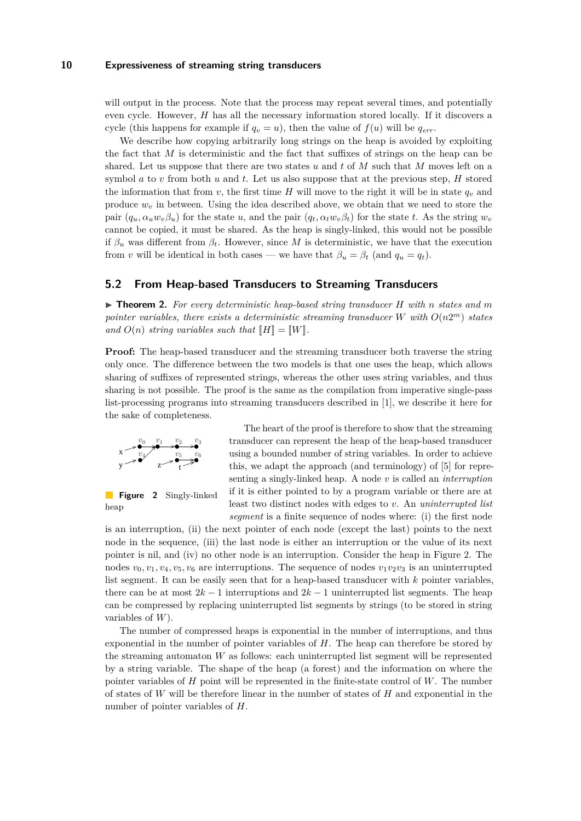will output in the process. Note that the process may repeat several times, and potentially even cycle. However, *H* has all the necessary information stored locally. If it discovers a cycle (this happens for example if  $q_v = u$ ), then the value of  $f(u)$  will be  $q_{err}$ .

We describe how copying arbitrarily long strings on the heap is avoided by exploiting the fact that *M* is deterministic and the fact that suffixes of strings on the heap can be shared. Let us suppose that there are two states *u* and *t* of *M* such that *M* moves left on a symbol *a* to *v* from both *u* and *t*. Let us also suppose that at the previous step, *H* stored the information that from *v*, the first time *H* will move to the right it will be in state  $q_v$  and produce  $w<sub>v</sub>$  in between. Using the idea described above, we obtain that we need to store the pair  $(q_u, \alpha_u w_v \beta_u)$  for the state u, and the pair  $(q_t, \alpha_t w_v \beta_t)$  for the state t. As the string  $w_v$ cannot be copied, it must be shared. As the heap is singly-linked, this would not be possible if  $\beta_u$  was different from  $\beta_t$ . However, since M is deterministic, we have that the execution from *v* will be identical in both cases — we have that  $\beta_u = \beta_t$  (and  $q_u = q_t$ ).

#### **5.2 From Heap-based Transducers to Streaming Transducers**

I **Theorem 2.** *For every deterministic heap-based string transducer H with n states and m pointer variables, there exists a deterministic streaming transducer W with O*(*n*2 *<sup>m</sup>*) *states* and  $O(n)$  *string variables such that*  $\llbracket H \rrbracket = \llbracket W \rrbracket$ .

**Proof:** The heap-based transducer and the streaming transducer both traverse the string only once. The difference between the two models is that one uses the heap, which allows sharing of suffixes of represented strings, whereas the other uses string variables, and thus sharing is not possible. The proof is the same as the compilation from imperative single-pass list-processing programs into streaming transducers described in [\[1\]](#page-13-0), we describe it here for the sake of completeness.

<span id="page-11-0"></span>
$$
\begin{array}{ccc}\nx & \rightarrow & v_0 & v_1 & v_2 & v_3 \\
\hline\n & v_4 & & v_5 & v_6 \\
y & z & & & \uparrow & \n\end{array}
$$

**Figure 2** Singly-linked heap

The heart of the proof is therefore to show that the streaming transducer can represent the heap of the heap-based transducer using a bounded number of string variables. In order to achieve this, we adapt the approach (and terminology) of [\[5\]](#page-13-7) for representing a singly-linked heap. A node *v* is called an *interruption* if it is either pointed to by a program variable or there are at least two distinct nodes with edges to *v*. An *uninterrupted list segment* is a finite sequence of nodes where: (i) the first node

is an interruption, (ii) the next pointer of each node (except the last) points to the next node in the sequence, (iii) the last node is either an interruption or the value of its next pointer is nil, and (iv) no other node is an interruption. Consider the heap in Figure [2.](#page-11-0) The nodes  $v_0, v_1, v_4, v_5, v_6$  are interruptions. The sequence of nodes  $v_1v_2v_3$  is an uninterrupted list segment. It can be easily seen that for a heap-based transducer with *k* pointer variables, there can be at most  $2k - 1$  interruptions and  $2k - 1$  uninterrupted list segments. The heap can be compressed by replacing uninterrupted list segments by strings (to be stored in string variables of *W*).

The number of compressed heaps is exponential in the number of interruptions, and thus exponential in the number of pointer variables of *H*. The heap can therefore be stored by the streaming automaton *W* as follows: each uninterrupted list segment will be represented by a string variable. The shape of the heap (a forest) and the information on where the pointer variables of *H* point will be represented in the finite-state control of *W*. The number of states of *W* will be therefore linear in the number of states of *H* and exponential in the number of pointer variables of *H*.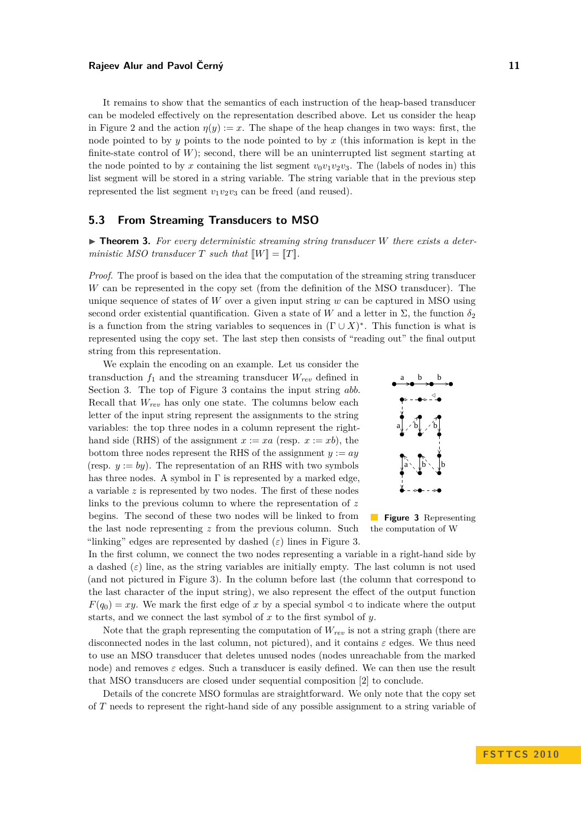It remains to show that the semantics of each instruction of the heap-based transducer can be modeled effectively on the representation described above. Let us consider the heap in Figure [2](#page-11-0) and the action  $\eta(y) := x$ . The shape of the heap changes in two ways: first, the node pointed to by *y* points to the node pointed to by *x* (this information is kept in the finite-state control of  $W$ ); second, there will be an uninterrupted list segment starting at the node pointed to by x containing the list segment  $v_0v_1v_2v_3$ . The (labels of nodes in) this list segment will be stored in a string variable. The string variable that in the previous step represented the list segment  $v_1v_2v_3$  can be freed (and reused).

#### **5.3 From Streaming Transducers to MSO**

▶ **Theorem 3.** For every deterministic streaming string transducer *W* there exists a deter*ministic MSO transducer*  $T$  *such that*  $\llbracket W \rrbracket = \llbracket T \rrbracket$ *.* 

*Proof.* The proof is based on the idea that the computation of the streaming string transducer *W* can be represented in the copy set (from the definition of the MSO transducer). The unique sequence of states of *W* over a given input string *w* can be captured in MSO using second order existential quantification. Given a state of *W* and a letter in  $\Sigma$ , the function  $\delta_2$ is a function from the string variables to sequences in  $(\Gamma \cup X)^*$ . This function is what is represented using the copy set. The last step then consists of "reading out" the final output string from this representation.

<span id="page-12-0"></span>We explain the encoding on an example. Let us consider the transduction  $f_1$  and the streaming transducer  $W_{rev}$  defined in Section [3.](#page-5-0) The top of Figure [3](#page-12-0) contains the input string *abb*. Recall that *Wrev* has only one state. The columns below each letter of the input string represent the assignments to the string variables: the top three nodes in a column represent the righthand side (RHS) of the assignment  $x := xa$  (resp.  $x := xb$ ), the bottom three nodes represent the RHS of the assignment  $y := ay$ (resp.  $y := by$ ). The representation of an RHS with two symbols has three nodes. A symbol in  $\Gamma$  is represented by a marked edge, a variable *z* is represented by two nodes. The first of these nodes links to the previous column to where the representation of *z* begins. The second of these two nodes will be linked to from the last node representing *z* from the previous column. Such "linking" edges are represented by dashed  $(\varepsilon)$  lines in Figure [3.](#page-12-0)



**Figure 3** Representing the computation of W

In the first column, we connect the two nodes representing a variable in a right-hand side by a dashed  $(\varepsilon)$  line, as the string variables are initially empty. The last column is not used (and not pictured in Figure [3\)](#page-12-0). In the column before last (the column that correspond to the last character of the input string), we also represent the effect of the output function  $F(q_0) = xy$ . We mark the first edge of *x* by a special symbol  $\triangleleft$  to indicate where the output starts, and we connect the last symbol of *x* to the first symbol of *y*.

Note that the graph representing the computation of *Wrev* is not a string graph (there are disconnected nodes in the last column, not pictured), and it contains *ε* edges. We thus need to use an MSO transducer that deletes unused nodes (nodes unreachable from the marked node) and removes  $\varepsilon$  edges. Such a transducer is easily defined. We can then use the result that MSO transducers are closed under sequential composition [\[2\]](#page-13-1) to conclude.

Details of the concrete MSO formulas are straightforward. We only note that the copy set of *T* needs to represent the right-hand side of any possible assignment to a string variable of